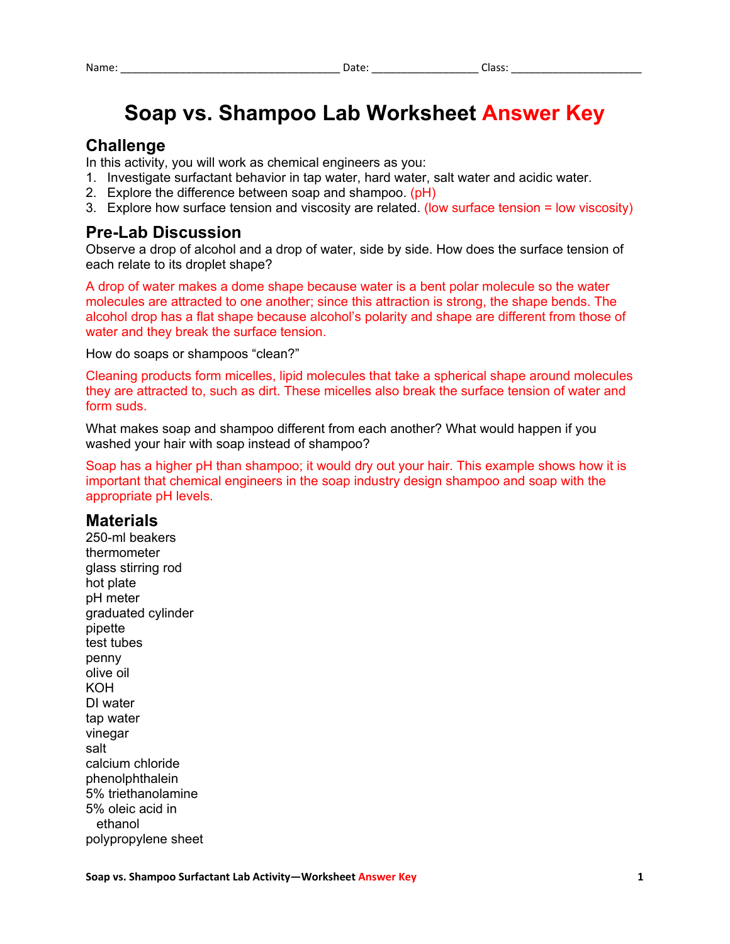# **Soap vs. Shampoo Lab Worksheet Answer Key**

### **Challenge**

In this activity, you will work as chemical engineers as you:

- 1. Investigate surfactant behavior in tap water, hard water, salt water and acidic water.
- 2. Explore the difference between soap and shampoo.  $(pH)$
- 3. Explore how surface tension and viscosity are related. (low surface tension = low viscosity)

#### **Pre-Lab Discussion**

Observe a drop of alcohol and a drop of water, side by side. How does the surface tension of each relate to its droplet shape?

A drop of water makes a dome shape because water is a bent polar molecule so the water molecules are attracted to one another; since this attraction is strong, the shape bends. The alcohol drop has a flat shape because alcohol's polarity and shape are different from those of water and they break the surface tension.

How do soaps or shampoos "clean?"

Cleaning products form micelles, lipid molecules that take a spherical shape around molecules they are attracted to, such as dirt. These micelles also break the surface tension of water and form suds.

What makes soap and shampoo different from each another? What would happen if you washed your hair with soap instead of shampoo?

Soap has a higher pH than shampoo; it would dry out your hair. This example shows how it is important that chemical engineers in the soap industry design shampoo and soap with the appropriate pH levels.

#### **Materials**

250-ml beakers thermometer glass stirring rod hot plate pH meter graduated cylinder pipette test tubes penny olive oil KOH DI water tap water vinegar salt calcium chloride phenolphthalein 5% triethanolamine 5% oleic acid in ethanol polypropylene sheet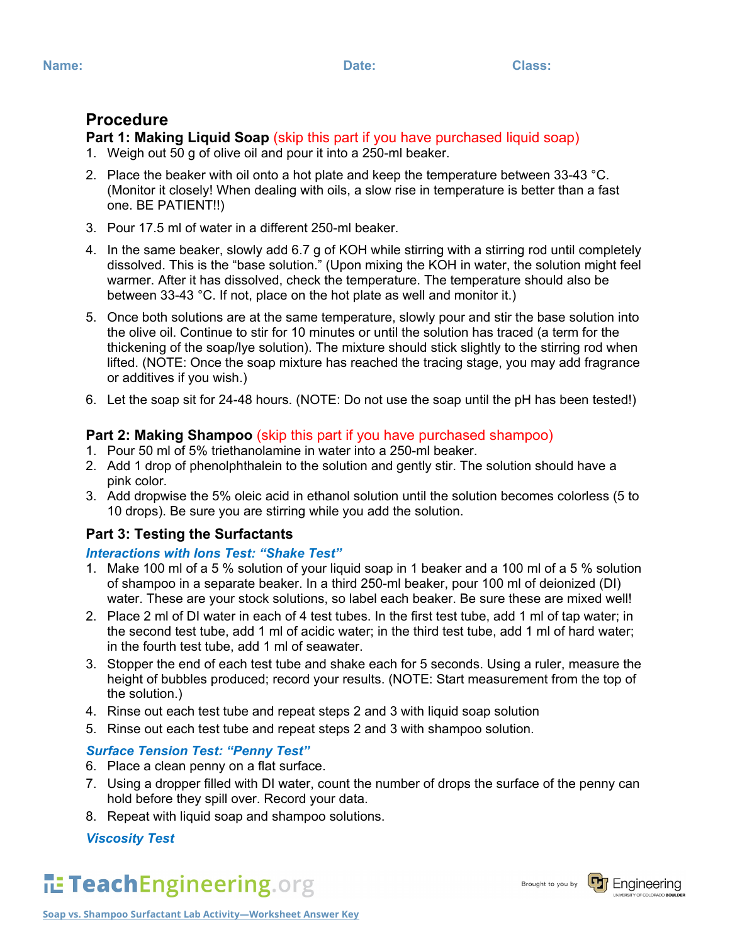## **Procedure**

# **Part 1: Making Liquid Soap** *(skip this part if you have purchased liquid soap)*

- 1. Weigh out 50 g of olive oil and pour it into a 250-ml beaker.
- 2. Place the beaker with oil onto a hot plate and keep the temperature between  $33-43$  °C. (Monitor it closely! When dealing with oils, a slow rise in temperature is better than a fast one. BE PATIENT!!)
- 3. Pour 17.5 ml of water in a different 250-ml beaker.
- 4. In the same beaker, slowly add 6.7 g of KOH while stirring with a stirring rod until completely dissolved. This is the "base solution." (Upon mixing the KOH in water, the solution might feel warmer. After it has dissolved, check the temperature. The temperature should also be between 33-43 °C. If not, place on the hot plate as well and monitor it.)
- 5. Once both solutions are at the same temperature, slowly pour and stir the base solution into the olive oil. Continue to stir for 10 minutes or until the solution has traced (a term for the thickening of the soap/lye solution). The mixture should stick slightly to the stirring rod when lifted. (NOTE: Once the soap mixture has reached the tracing stage, you may add fragrance or additives if you wish.)
- 6. Let the soap sit for 24-48 hours. (NOTE: Do not use the soap until the pH has been tested!)

### **Part 2: Making Shampoo** (skip this part if you have purchased shampoo)

- 1. Pour 50 ml of 5% triethanolamine in water into a 250-ml beaker.
- 2. Add 1 drop of phenolphthalein to the solution and gently stir. The solution should have a pink color.
- 3. Add dropwise the 5% oleic acid in ethanol solution until the solution becomes colorless (5 to 10 drops). Be sure you are stirring while you add the solution.

## **Part 3: Testing the Surfactants**

### *Interactions with Ions Test: "Shake Test"*

- 1. Make 100 ml of a 5 % solution of your liquid soap in 1 beaker and a 100 ml of a 5 % solution of shampoo in a separate beaker. In a third 250-ml beaker, pour 100 ml of deionized (DI) water. These are your stock solutions, so label each beaker. Be sure these are mixed well!
- 2. Place 2 ml of DI water in each of 4 test tubes. In the first test tube, add 1 ml of tap water; in the second test tube, add 1 ml of acidic water; in the third test tube, add 1 ml of hard water; in the fourth test tube, add 1 ml of seawater.
- 3. Stopper the end of each test tube and shake each for 5 seconds. Using a ruler, measure the height of bubbles produced; record your results. (NOTE: Start measurement from the top of the solution.)
- 4. Rinse out each test tube and repeat steps 2 and 3 with liquid soap solution
- 5. Rinse out each test tube and repeat steps 2 and 3 with shampoo solution.

### *Surface Tension Test: "Penny Test"*

- 6. Place a clean penny on a flat surface.
- 7. Using a dropper filled with DI water, count the number of drops the surface of the penny can hold before they spill over. Record your data.
- 8. Repeat with liquid soap and shampoo solutions.

### *Viscosity Test*



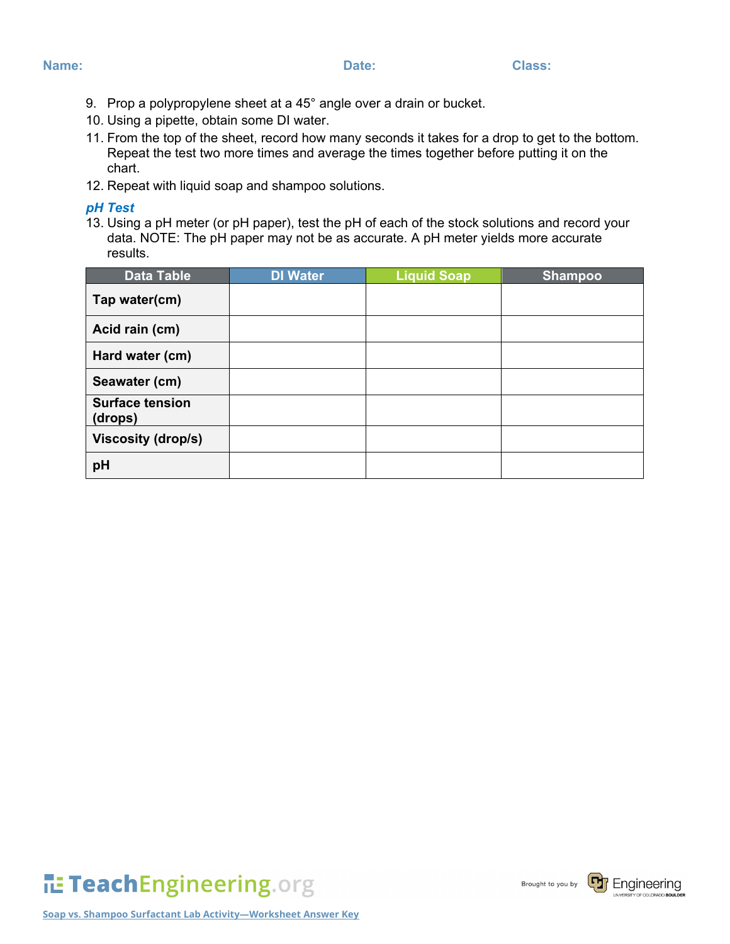- **Name: Date: Class:**
	- 9. Prop a polypropylene sheet at a 45° angle over a drain or bucket.
	- 10. Using a pipette, obtain some DI water.
	- 11. From the top of the sheet, record how many seconds it takes for a drop to get to the bottom. Repeat the test two more times and average the times together before putting it on the chart.
	- 12. Repeat with liquid soap and shampoo solutions.

#### *pH Test*

13. Using a pH meter (or pH paper), test the pH of each of the stock solutions and record your data. NOTE: The pH paper may not be as accurate. A pH meter yields more accurate results.

| <b>Data Table</b>                 | <b>DI Water</b> | <b>Liquid Soap</b> | <b>Shampoo</b> |
|-----------------------------------|-----------------|--------------------|----------------|
| Tap water(cm)                     |                 |                    |                |
| Acid rain (cm)                    |                 |                    |                |
| Hard water (cm)                   |                 |                    |                |
| Seawater (cm)                     |                 |                    |                |
| <b>Surface tension</b><br>(drops) |                 |                    |                |
| <b>Viscosity (drop/s)</b>         |                 |                    |                |
| pH                                |                 |                    |                |